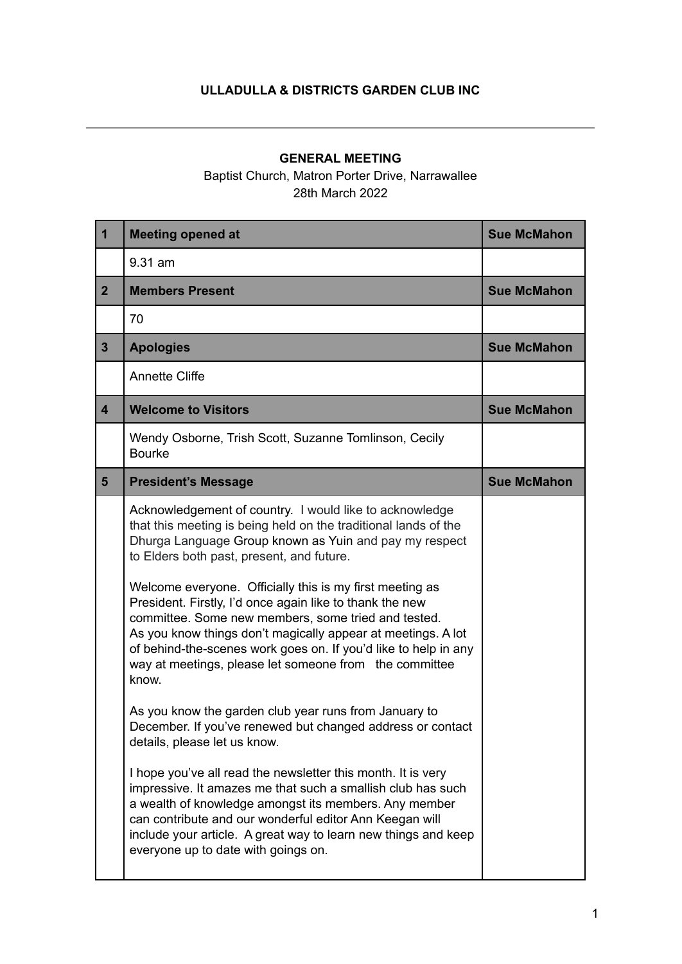## **ULLADULLA & DISTRICTS GARDEN CLUB INC**

## **GENERAL MEETING**

Baptist Church, Matron Porter Drive, Narrawallee 28th March 2022

| $\mathbf 1$             | <b>Meeting opened at</b>                                                                                                                                                                                                                                                                                                                                                                                                                                                                                                                                                                                      | <b>Sue McMahon</b> |
|-------------------------|---------------------------------------------------------------------------------------------------------------------------------------------------------------------------------------------------------------------------------------------------------------------------------------------------------------------------------------------------------------------------------------------------------------------------------------------------------------------------------------------------------------------------------------------------------------------------------------------------------------|--------------------|
|                         | 9.31 am                                                                                                                                                                                                                                                                                                                                                                                                                                                                                                                                                                                                       |                    |
| 2 <sup>1</sup>          | <b>Members Present</b>                                                                                                                                                                                                                                                                                                                                                                                                                                                                                                                                                                                        | <b>Sue McMahon</b> |
|                         | 70                                                                                                                                                                                                                                                                                                                                                                                                                                                                                                                                                                                                            |                    |
| 3 <sup>5</sup>          | <b>Apologies</b>                                                                                                                                                                                                                                                                                                                                                                                                                                                                                                                                                                                              | <b>Sue McMahon</b> |
|                         | <b>Annette Cliffe</b>                                                                                                                                                                                                                                                                                                                                                                                                                                                                                                                                                                                         |                    |
| $\overline{\mathbf{4}}$ | <b>Welcome to Visitors</b>                                                                                                                                                                                                                                                                                                                                                                                                                                                                                                                                                                                    | <b>Sue McMahon</b> |
|                         | Wendy Osborne, Trish Scott, Suzanne Tomlinson, Cecily<br><b>Bourke</b>                                                                                                                                                                                                                                                                                                                                                                                                                                                                                                                                        |                    |
| 5 <sup>5</sup>          | <b>President's Message</b>                                                                                                                                                                                                                                                                                                                                                                                                                                                                                                                                                                                    | <b>Sue McMahon</b> |
|                         | Acknowledgement of country. I would like to acknowledge<br>that this meeting is being held on the traditional lands of the<br>Dhurga Language Group known as Yuin and pay my respect<br>to Elders both past, present, and future.<br>Welcome everyone. Officially this is my first meeting as<br>President. Firstly, I'd once again like to thank the new<br>committee. Some new members, some tried and tested.<br>As you know things don't magically appear at meetings. A lot<br>of behind-the-scenes work goes on. If you'd like to help in any<br>way at meetings, please let someone from the committee |                    |
|                         | know.<br>As you know the garden club year runs from January to<br>December. If you've renewed but changed address or contact<br>details, please let us know.<br>I hope you've all read the newsletter this month. It is very<br>impressive. It amazes me that such a smallish club has such<br>a wealth of knowledge amongst its members. Any member<br>can contribute and our wonderful editor Ann Keegan will<br>include your article. A great way to learn new things and keep<br>everyone up to date with goings on.                                                                                      |                    |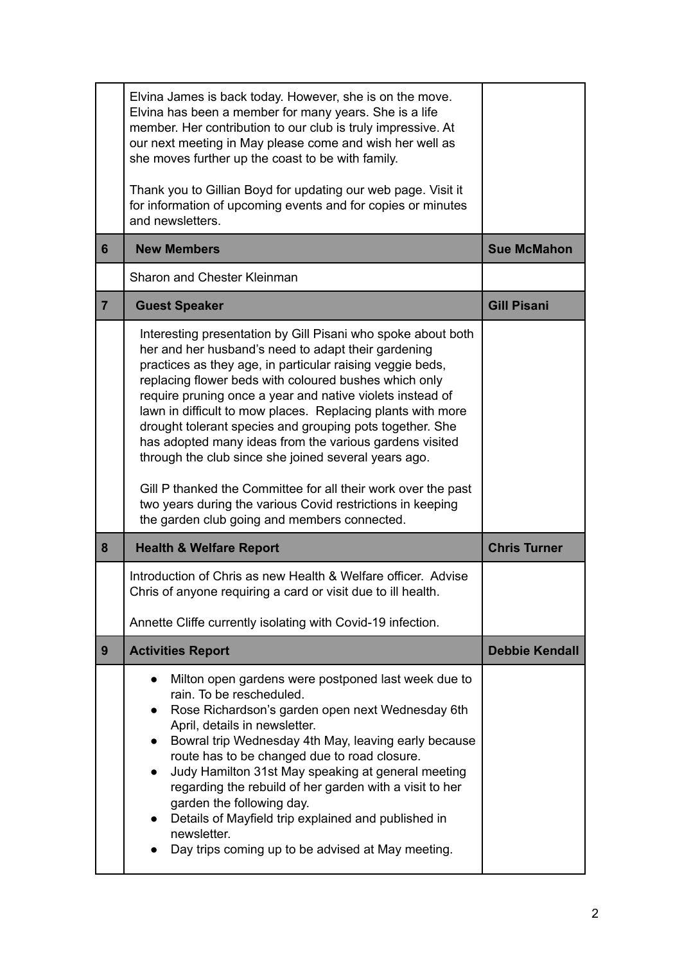|                | Elvina James is back today. However, she is on the move.<br>Elvina has been a member for many years. She is a life<br>member. Her contribution to our club is truly impressive. At<br>our next meeting in May please come and wish her well as<br>she moves further up the coast to be with family.<br>Thank you to Gillian Boyd for updating our web page. Visit it                                                                                                                                                                                                                                                                                                                                                                |                       |
|----------------|-------------------------------------------------------------------------------------------------------------------------------------------------------------------------------------------------------------------------------------------------------------------------------------------------------------------------------------------------------------------------------------------------------------------------------------------------------------------------------------------------------------------------------------------------------------------------------------------------------------------------------------------------------------------------------------------------------------------------------------|-----------------------|
|                | for information of upcoming events and for copies or minutes<br>and newsletters.                                                                                                                                                                                                                                                                                                                                                                                                                                                                                                                                                                                                                                                    |                       |
| 6              | <b>New Members</b>                                                                                                                                                                                                                                                                                                                                                                                                                                                                                                                                                                                                                                                                                                                  | <b>Sue McMahon</b>    |
|                | Sharon and Chester Kleinman                                                                                                                                                                                                                                                                                                                                                                                                                                                                                                                                                                                                                                                                                                         |                       |
| $\overline{7}$ | <b>Guest Speaker</b>                                                                                                                                                                                                                                                                                                                                                                                                                                                                                                                                                                                                                                                                                                                | <b>Gill Pisani</b>    |
|                | Interesting presentation by Gill Pisani who spoke about both<br>her and her husband's need to adapt their gardening<br>practices as they age, in particular raising veggie beds,<br>replacing flower beds with coloured bushes which only<br>require pruning once a year and native violets instead of<br>lawn in difficult to mow places. Replacing plants with more<br>drought tolerant species and grouping pots together. She<br>has adopted many ideas from the various gardens visited<br>through the club since she joined several years ago.<br>Gill P thanked the Committee for all their work over the past<br>two years during the various Covid restrictions in keeping<br>the garden club going and members connected. |                       |
| 8              | <b>Health &amp; Welfare Report</b>                                                                                                                                                                                                                                                                                                                                                                                                                                                                                                                                                                                                                                                                                                  | <b>Chris Turner</b>   |
|                | Introduction of Chris as new Health & Welfare officer. Advise<br>Chris of anyone requiring a card or visit due to ill health.                                                                                                                                                                                                                                                                                                                                                                                                                                                                                                                                                                                                       |                       |
|                | Annette Cliffe currently isolating with Covid-19 infection.                                                                                                                                                                                                                                                                                                                                                                                                                                                                                                                                                                                                                                                                         |                       |
| 9              | <b>Activities Report</b>                                                                                                                                                                                                                                                                                                                                                                                                                                                                                                                                                                                                                                                                                                            | <b>Debbie Kendall</b> |
|                | Milton open gardens were postponed last week due to<br>$\bullet$                                                                                                                                                                                                                                                                                                                                                                                                                                                                                                                                                                                                                                                                    |                       |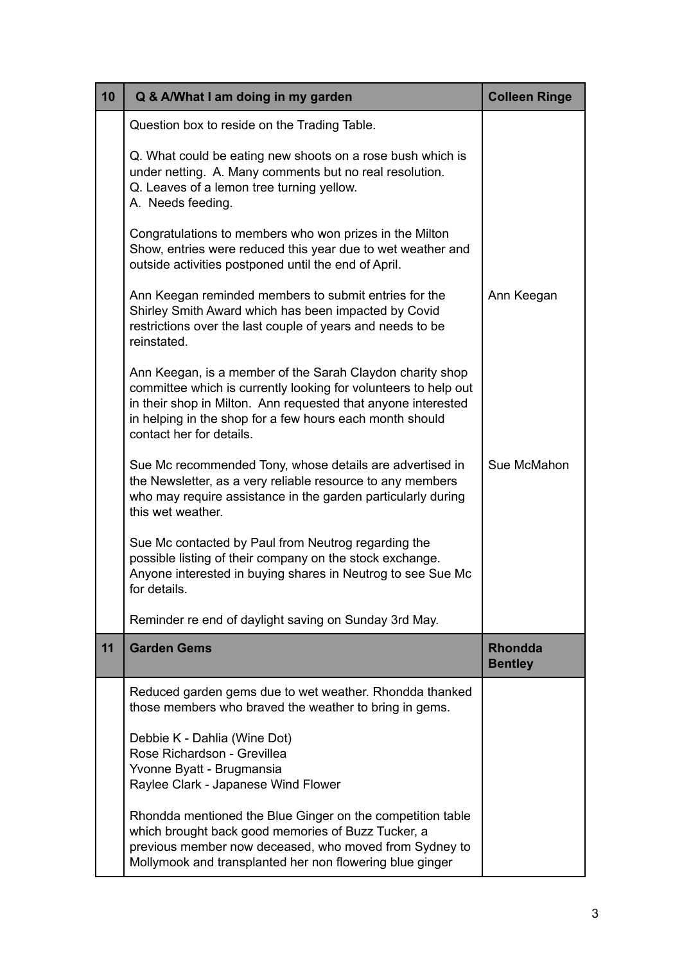| 10 | Q & A/What I am doing in my garden                                                                                                                                                                                                                                                    | <b>Colleen Ringe</b>             |
|----|---------------------------------------------------------------------------------------------------------------------------------------------------------------------------------------------------------------------------------------------------------------------------------------|----------------------------------|
|    | Question box to reside on the Trading Table.                                                                                                                                                                                                                                          |                                  |
|    | Q. What could be eating new shoots on a rose bush which is<br>under netting. A. Many comments but no real resolution.<br>Q. Leaves of a lemon tree turning yellow.<br>A. Needs feeding.                                                                                               |                                  |
|    | Congratulations to members who won prizes in the Milton<br>Show, entries were reduced this year due to wet weather and<br>outside activities postponed until the end of April.                                                                                                        |                                  |
|    | Ann Keegan reminded members to submit entries for the<br>Shirley Smith Award which has been impacted by Covid<br>restrictions over the last couple of years and needs to be<br>reinstated.                                                                                            | Ann Keegan                       |
|    | Ann Keegan, is a member of the Sarah Claydon charity shop<br>committee which is currently looking for volunteers to help out<br>in their shop in Milton. Ann requested that anyone interested<br>in helping in the shop for a few hours each month should<br>contact her for details. |                                  |
|    | Sue Mc recommended Tony, whose details are advertised in<br>the Newsletter, as a very reliable resource to any members<br>who may require assistance in the garden particularly during<br>this wet weather.                                                                           | Sue McMahon                      |
|    | Sue Mc contacted by Paul from Neutrog regarding the<br>possible listing of their company on the stock exchange.<br>Anyone interested in buying shares in Neutrog to see Sue Mc<br>for details.                                                                                        |                                  |
|    | Reminder re end of daylight saving on Sunday 3rd May.                                                                                                                                                                                                                                 |                                  |
| 11 | <b>Garden Gems</b>                                                                                                                                                                                                                                                                    | <b>Rhondda</b><br><b>Bentley</b> |
|    | Reduced garden gems due to wet weather. Rhondda thanked<br>those members who braved the weather to bring in gems.                                                                                                                                                                     |                                  |
|    | Debbie K - Dahlia (Wine Dot)<br>Rose Richardson - Grevillea<br>Yvonne Byatt - Brugmansia<br>Raylee Clark - Japanese Wind Flower                                                                                                                                                       |                                  |
|    | Rhondda mentioned the Blue Ginger on the competition table<br>which brought back good memories of Buzz Tucker, a<br>previous member now deceased, who moved from Sydney to<br>Mollymook and transplanted her non flowering blue ginger                                                |                                  |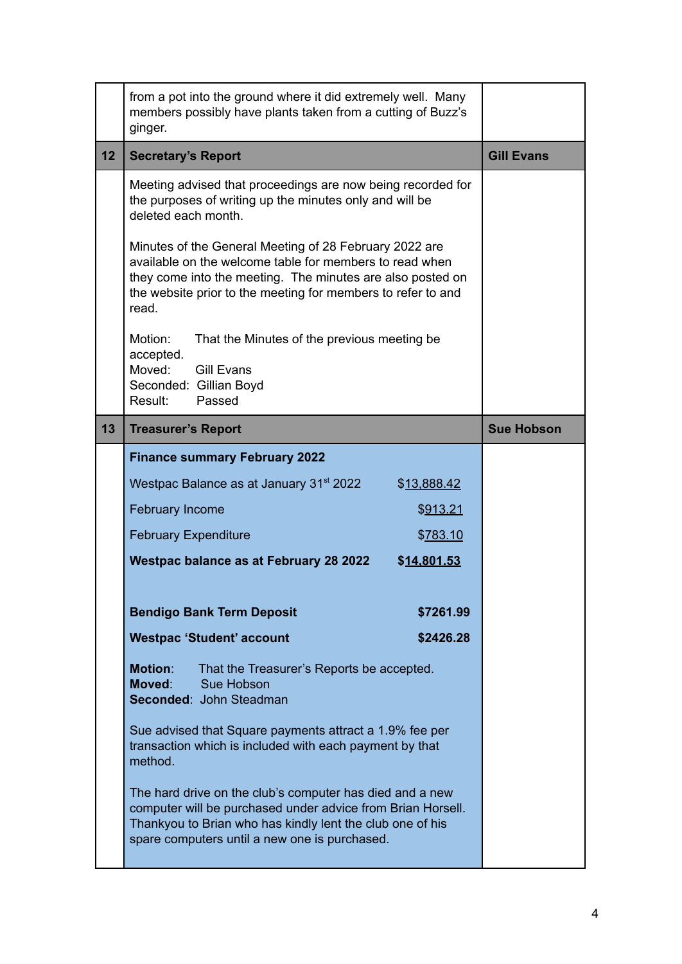|                 | from a pot into the ground where it did extremely well. Many<br>members possibly have plants taken from a cutting of Buzz's<br>ginger.                                                                                                                   |                   |
|-----------------|----------------------------------------------------------------------------------------------------------------------------------------------------------------------------------------------------------------------------------------------------------|-------------------|
| 12 <sub>2</sub> | <b>Secretary's Report</b>                                                                                                                                                                                                                                | <b>Gill Evans</b> |
|                 | Meeting advised that proceedings are now being recorded for<br>the purposes of writing up the minutes only and will be<br>deleted each month.                                                                                                            |                   |
|                 | Minutes of the General Meeting of 28 February 2022 are<br>available on the welcome table for members to read when<br>they come into the meeting. The minutes are also posted on<br>the website prior to the meeting for members to refer to and<br>read. |                   |
|                 | Motion:<br>That the Minutes of the previous meeting be.<br>accepted.<br>Moved:<br><b>Gill Evans</b><br>Seconded: Gillian Boyd<br>Passed<br>Result:                                                                                                       |                   |
| 13              | <b>Treasurer's Report</b>                                                                                                                                                                                                                                | <b>Sue Hobson</b> |
|                 | <b>Finance summary February 2022</b>                                                                                                                                                                                                                     |                   |
|                 | Westpac Balance as at January 31 <sup>st</sup> 2022<br>\$13,888.42                                                                                                                                                                                       |                   |
|                 | <b>February Income</b><br>\$913.21                                                                                                                                                                                                                       |                   |
|                 | <b>February Expenditure</b><br>\$783.10                                                                                                                                                                                                                  |                   |
|                 | <b>Westpac balance as at February 28 2022</b><br>\$14,801.53                                                                                                                                                                                             |                   |
|                 |                                                                                                                                                                                                                                                          |                   |
|                 | <b>Bendigo Bank Term Deposit</b><br>\$7261.99                                                                                                                                                                                                            |                   |
|                 | <b>Westpac 'Student' account</b><br>\$2426.28                                                                                                                                                                                                            |                   |
|                 | <b>Motion:</b><br>That the Treasurer's Reports be accepted.<br>Moved:<br>Sue Hobson<br>Seconded: John Steadman                                                                                                                                           |                   |
|                 | Sue advised that Square payments attract a 1.9% fee per                                                                                                                                                                                                  |                   |
|                 | transaction which is included with each payment by that<br>method.                                                                                                                                                                                       |                   |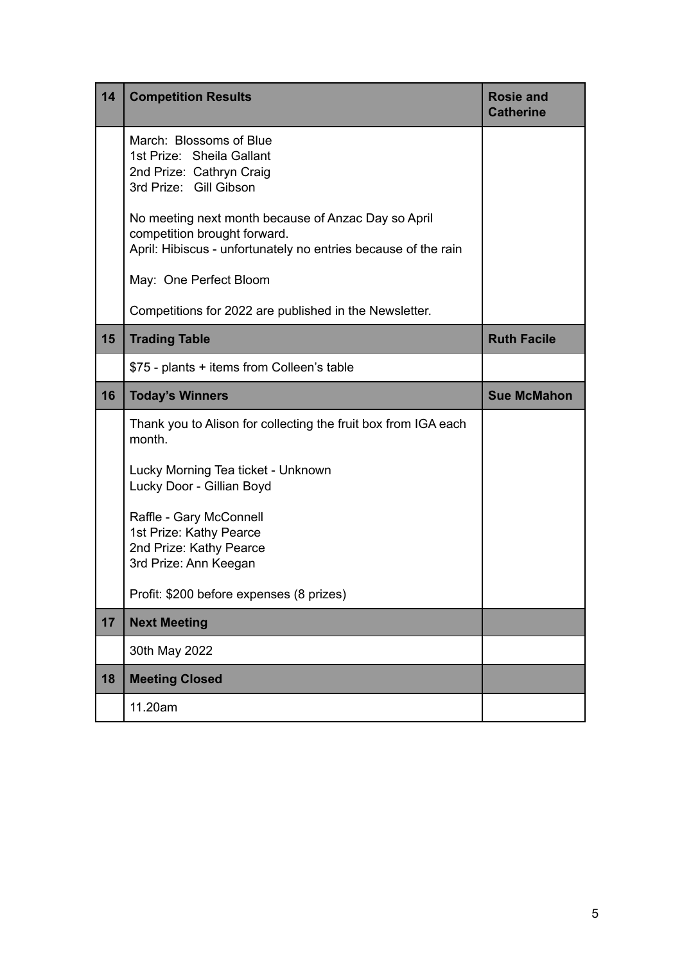| 14 | <b>Competition Results</b>                                                                                                                            | <b>Rosie and</b><br><b>Catherine</b> |
|----|-------------------------------------------------------------------------------------------------------------------------------------------------------|--------------------------------------|
|    | March: Blossoms of Blue<br>1st Prize: Sheila Gallant<br>2nd Prize: Cathryn Craig<br>3rd Prize: Gill Gibson                                            |                                      |
|    | No meeting next month because of Anzac Day so April<br>competition brought forward.<br>April: Hibiscus - unfortunately no entries because of the rain |                                      |
|    | May: One Perfect Bloom                                                                                                                                |                                      |
|    | Competitions for 2022 are published in the Newsletter.                                                                                                |                                      |
| 15 | <b>Trading Table</b>                                                                                                                                  | <b>Ruth Facile</b>                   |
|    | \$75 - plants + items from Colleen's table                                                                                                            |                                      |
| 16 | <b>Today's Winners</b>                                                                                                                                | <b>Sue McMahon</b>                   |
|    | Thank you to Alison for collecting the fruit box from IGA each<br>month.                                                                              |                                      |
|    | Lucky Morning Tea ticket - Unknown<br>Lucky Door - Gillian Boyd                                                                                       |                                      |
|    | Raffle - Gary McConnell<br>1st Prize: Kathy Pearce<br>2nd Prize: Kathy Pearce<br>3rd Prize: Ann Keegan                                                |                                      |
|    | Profit: \$200 before expenses (8 prizes)                                                                                                              |                                      |
| 17 | <b>Next Meeting</b>                                                                                                                                   |                                      |
|    | 30th May 2022                                                                                                                                         |                                      |
|    |                                                                                                                                                       |                                      |
| 18 | <b>Meeting Closed</b>                                                                                                                                 |                                      |